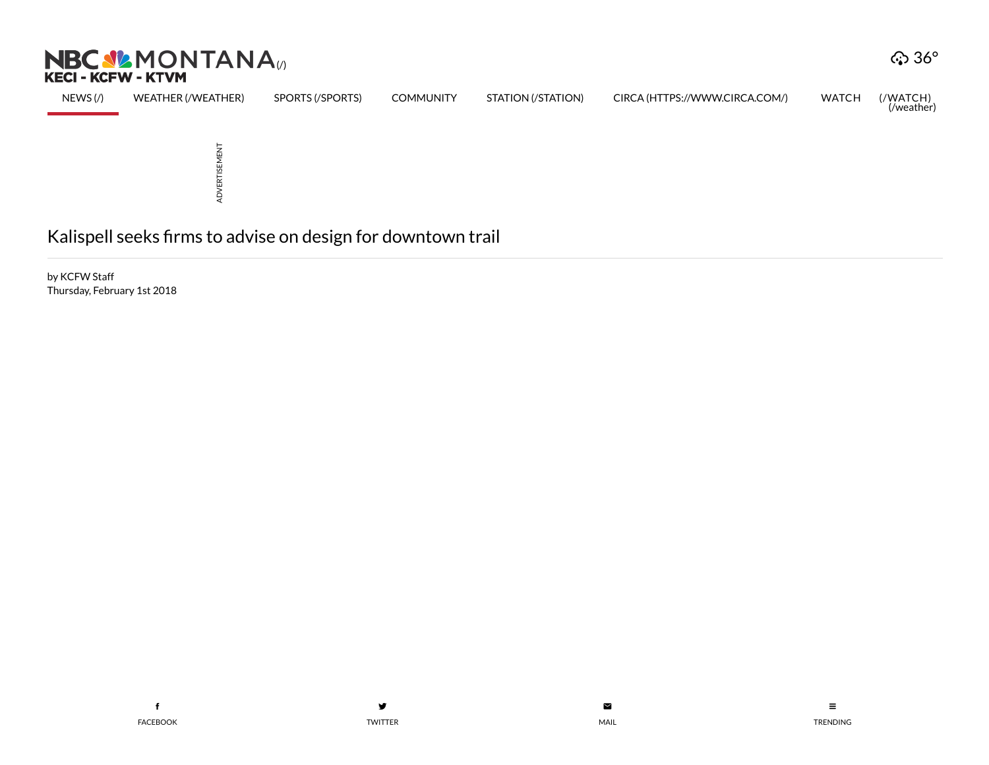



by KCFW Staff Thursday, February 1st 2018

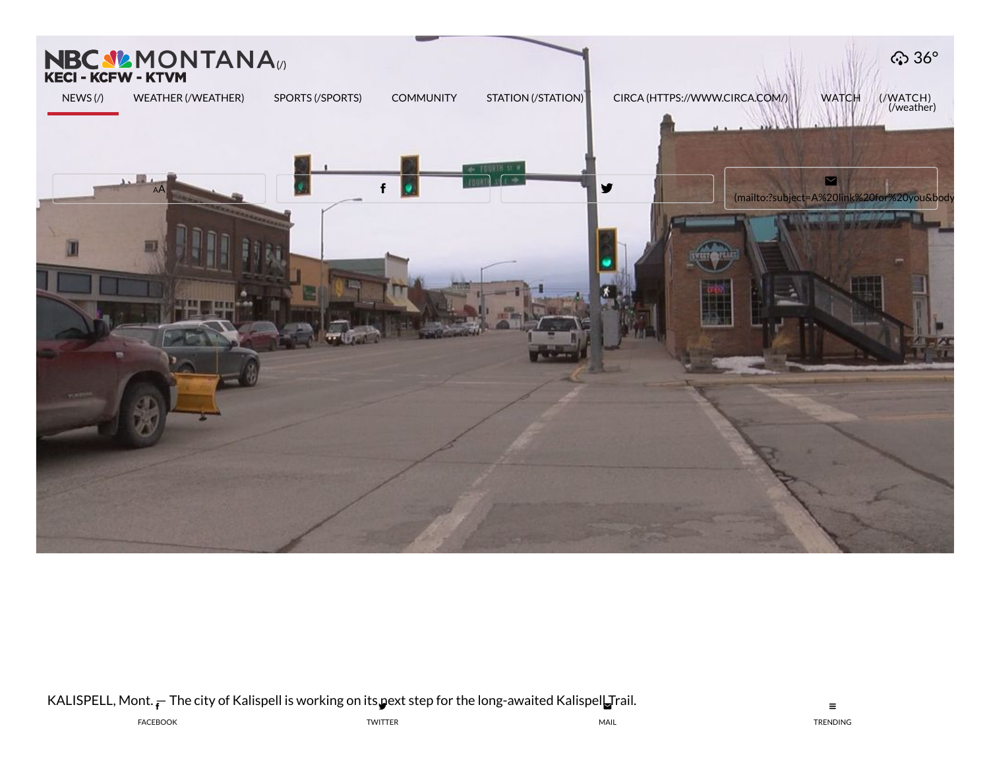

KALISPELL, Mont.  $_{\bar{\textbf{f}}}$  The city of Kalispell is working on its pext step for the lon[g-awaited](mailto:?subject=A%20link%20for%20you&body=You%20should%20read%20this!%0A%0Ahttp://nbcmontana.com/news/local/kalispell-seeks-firms-to-advise-on-design-for-downtown-trail) Kalispel $\blacksquare$ Trail.